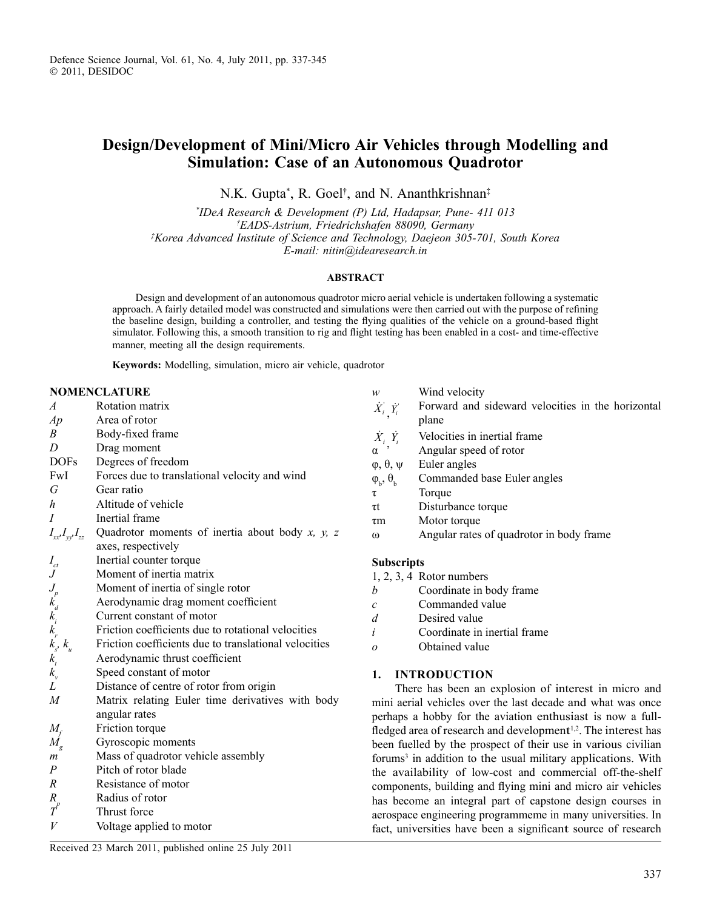## **Design/Development of Mini/Micro Air Vehicles through Modelling and Simulation: Case of an Autonomous Quadrotor**

N.K. Gupta\* , R. Goel† , and N. Ananthkrishnan‡

*\* IDeA Research & Development (P) Ltd, Hadapsar, Pune- 411 013 † EADS-Astrium, Friedrichshafen 88090, Germany ‡ Korea Advanced Institute of Science and Technology, Daejeon 305-701, South Korea E-mail: nitin@idearesearch.in* 

## **ABSTRACT**

Design and development of an autonomous quadrotor micro aerial vehicle is undertaken following a systematic approach. A fairly detailed model was constructed and simulations were then carried out with the purpose of refining the baseline design, building a controller, and testing the flying qualities of the vehicle on a ground-based flight simulator. Following this, a smooth transition to rig and flight testing has been enabled in a cost- and time-effective manner, meeting all the design requirements.

**Keywords:** Modelling, simulation, micro air vehicle, quadrotor

## **NOMENCLATURE**

| $\overline{A}$                                      | Rotation matrix                                         | $\dot{X}_{i}^{'}, \dot{Y}_{i}^{'}$      | Forward and sideward velocit                          |
|-----------------------------------------------------|---------------------------------------------------------|-----------------------------------------|-------------------------------------------------------|
| Ap                                                  | Area of rotor                                           |                                         | plane                                                 |
| B                                                   | Body-fixed frame                                        | $\dot{X}_i$ $\dot{Y}_i$                 | Velocities in inertial frame                          |
| D                                                   | Drag moment                                             | $\alpha$                                | Angular speed of rotor                                |
| <b>DOFs</b>                                         | Degrees of freedom                                      | $\varphi, \theta, \psi$                 | Euler angles                                          |
| FwI                                                 | Forces due to translational velocity and wind           | $\varphi_{b}, \theta_{b}$               | Commanded base Euler angles                           |
| G                                                   | Gear ratio                                              | τ                                       | Torque                                                |
| h                                                   | Altitude of vehicle                                     | $\tau t$                                | Disturbance torque                                    |
| $\overline{I}$                                      | Inertial frame                                          | $\tau$ m                                | Motor torque                                          |
| $I_{xx}I_{yy}I_{zz}$                                | Quadrotor moments of inertia about body $x$ , $y$ , $z$ | $\omega$                                | Angular rates of quadrotor in b                       |
|                                                     | axes, respectively                                      |                                         |                                                       |
| $I_{ct}$                                            | Inertial counter torque                                 | <b>Subscripts</b>                       |                                                       |
| $\,$ J                                              | Moment of inertia matrix                                |                                         | $1, 2, 3, 4$ Rotor numbers                            |
|                                                     | Moment of inertia of single rotor                       | b                                       | Coordinate in body frame                              |
|                                                     | Aerodynamic drag moment coefficient                     | $\mathcal{C}_{\mathcal{C}}$             | Commanded value                                       |
| $J_{\substack{p \ k_d}}$                            | Current constant of motor                               | d                                       | Desired value                                         |
| $k_{r}$                                             | Friction coefficients due to rotational velocities      | $\dot{i}$                               | Coordinate in inertial frame                          |
|                                                     | Friction coefficients due to translational velocities   | $\overline{O}$                          | Obtained value                                        |
|                                                     | Aerodynamic thrust coefficient                          |                                         |                                                       |
| $\begin{array}{c} k_s, k_u\\ k_t\\ k_v \end{array}$ | Speed constant of motor                                 | 1.                                      | <b>INTRODUCTION</b>                                   |
| L                                                   | Distance of centre of rotor from origin                 |                                         | There has been an explosion of in                     |
| $\overline{M}$                                      | Matrix relating Euler time derivatives with body        |                                         | mini aerial vehicles over the last decade             |
|                                                     | angular rates                                           |                                         | perhaps a hobby for the aviation enthu                |
| $M_{\scriptscriptstyle f}$                          | Friction torque                                         |                                         | fledged area of research and developmen               |
| $M_{_g}$                                            | Gyroscopic moments                                      |                                         | been fuelled by the prospect of their us              |
| m                                                   | Mass of quadrotor vehicle assembly                      |                                         | forums <sup>3</sup> in addition to the usual military |
| P                                                   | Pitch of rotor blade                                    |                                         | the availability of low-cost and comi                 |
| $\boldsymbol{R}$                                    | Resistance of motor                                     | components, building and flying mini an |                                                       |
| $R_{\scriptscriptstyle\circ}$                       | Radius of rotor                                         | has become an integral part of capston  |                                                       |
| $\overline{T}^p$                                    | Thrust force                                            |                                         | aerospace engineering programmeme in                  |
| V                                                   | Voltage applied to motor                                |                                         | fact, universities have been a significan             |
|                                                     |                                                         |                                         |                                                       |

Received 23 March 2011, published online 25 July 2011

| w                                 | Wind velocity                                     |  |  |  |
|-----------------------------------|---------------------------------------------------|--|--|--|
| $\dot{X_i}$ , $\dot{Y_i}$         | Forward and sideward velocities in the horizontal |  |  |  |
|                                   | plane                                             |  |  |  |
| $\dot{X}_i$ $\dot{Y}_i$           | Velocities in inertial frame                      |  |  |  |
| $\alpha$ ,                        | Angular speed of rotor                            |  |  |  |
| $\varphi, \theta, \psi$           | Euler angles                                      |  |  |  |
| $\varphi_{\rm b}, \theta_{\rm b}$ | Commanded base Euler angles                       |  |  |  |
| τ                                 | Torque                                            |  |  |  |
| τt                                | Disturbance torque                                |  |  |  |
| $\tau$ m                          | Motor torque                                      |  |  |  |
| $\omega$                          | Angular rates of quadrotor in body frame          |  |  |  |
|                                   |                                                   |  |  |  |
| <b>Subscripts</b>                 |                                                   |  |  |  |
|                                   | $1, 2, 3, 4$ Rotor numbers                        |  |  |  |
| b                                 | Coordinate in body frame                          |  |  |  |
| $\mathcal{C}_{0}$                 | Commanded value                                   |  |  |  |
| d                                 | Desired value                                     |  |  |  |
| $\dot{i}$                         | Coordinate in inertial frame                      |  |  |  |
| $\overline{O}$                    | Obtained value                                    |  |  |  |

terest in micro and and what was once perhaps is now a fullfledged area of research and development  $1<sup>1,2</sup>$ . The interest has e in various civilian v applications. With mercial off-the-shelf d micro air vehicles he design courses in many universities. In t source of research